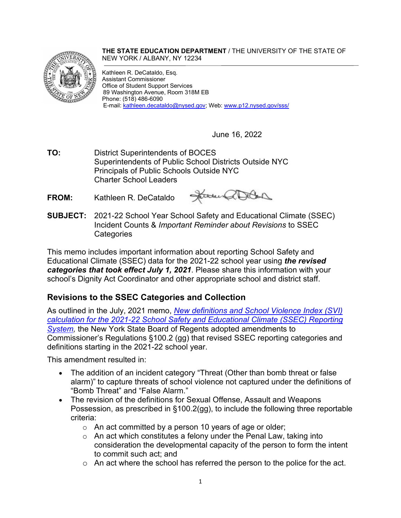#### **THE STATE EDUCATION DEPARTMENT** / THE UNIVERSITY OF THE STATE OF NEW YORK / ALBANY, NY 12234



Kathleen R. DeCataldo, Esq. Assistant Commissioner Office of Student Support Services 89 Washington Avenue, Room 318M EB Phone: (518) 486-6090 E-mail: [kathleen.decataldo@nysed.gov;](mailto:kathleen.decataldo@nysed.gov) Web: [www.p12.nysed.gov/sss/](http://www.p12.nysed.gov/sss/)

June 16, 2022

- **TO:** District Superintendents of BOCES Superintendents of Public School Districts Outside NYC Principals of Public Schools Outside NYC Charter School Leaders
- **FROM:** Kathleen R. DeCataldo

Janus allow

**SUBJECT:** 2021-22 School Year School Safety and Educational Climate (SSEC) Incident Counts & *Important Reminder about Revisions* to SSEC **Categories** 

This memo includes important information about reporting School Safety and Educational Climate (SSEC) data for the 2021-22 school year using *the revised categories that took effect July 1, 2021*. Please share this information with your school's Dignity Act Coordinator and other appropriate school and district staff.

# **Revisions to the SSEC Categories and Collection**

As outlined in the July, 2021 memo, *[New definitions and School Violence Index \(SVI\)](https://www.p12.nysed.gov/sss/documents/SSEC21-22memoFinal7.22.21.pdf)  [calculation for the 2021-22 School Safety and Educational Climate \(SSEC\) Reporting](https://www.p12.nysed.gov/sss/documents/SSEC21-22memoFinal7.22.21.pdf)*  **[System,](https://www.p12.nysed.gov/sss/documents/SSEC21-22memoFinal7.22.21.pdf) the New York State Board of Regents adopted amendments to** Commissioner's Regulations §100.2 (gg) that revised SSEC reporting categories and definitions starting in the 2021-22 school year.

This amendment resulted in:

- The addition of an incident category "Threat (Other than bomb threat or false alarm)" to capture threats of school violence not captured under the definitions of "Bomb Threat" and "False Alarm."
- The revision of the definitions for Sexual Offense, Assault and Weapons Possession, as prescribed in §100.2(gg), to include the following three reportable criteria:
	- o An act committed by a person 10 years of age or older;
	- $\circ$  An act which constitutes a felony under the Penal Law, taking into consideration the developmental capacity of the person to form the intent to commit such act; and
	- $\circ$  An act where the school has referred the person to the police for the act.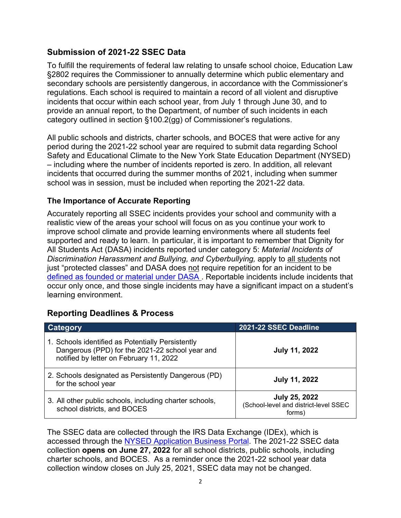## **Submission of 2021-22 SSEC Data**

To fulfill the requirements of federal law relating to unsafe school choice, Education Law §2802 requires the Commissioner to annually determine which public elementary and secondary schools are persistently dangerous, in accordance with the Commissioner's regulations. Each school is required to maintain a record of all violent and disruptive incidents that occur within each school year, from July 1 through June 30, and to provide an annual report, to the Department, of number of such incidents in each category outlined in section §100.2(gg) of Commissioner's regulations.

All public schools and districts, charter schools, and BOCES that were active for any period during the 2021-22 school year are required to submit data regarding School Safety and Educational Climate to the New York State Education Department (NYSED) – including where the number of incidents reported is zero. In addition, all relevant incidents that occurred during the summer months of 2021, including when summer school was in session, must be included when reporting the 2021-22 data.

#### **The Importance of Accurate Reporting**

Accurately reporting all SSEC incidents provides your school and community with a realistic view of the areas your school will focus on as you continue your work to improve school climate and provide learning environments where all students feel supported and ready to learn. In particular, it is important to remember that Dignity for All Students Act (DASA) incidents reported under category 5: *Material Incidents of Discrimination Harassment and Bullying, and Cyberbullying,* apply to all students not just "protected classes" and DASA does not require repetition for an incident to be [defined as founded](https://www.p12.nysed.gov/sss/documents/SSECGlossaryofTerms11.10.21.pdf) or material under DASA . Reportable incidents include incidents that occur only once, and those single incidents may have a significant impact on a student's learning environment.

## **Reporting Deadlines & Process**

| Category                                                                                                                                        | 2021-22 SSEC Deadline                                                   |
|-------------------------------------------------------------------------------------------------------------------------------------------------|-------------------------------------------------------------------------|
| 1. Schools identified as Potentially Persistently<br>Dangerous (PPD) for the 2021-22 school year and<br>notified by letter on February 11, 2022 | <b>July 11, 2022</b>                                                    |
| 2. Schools designated as Persistently Dangerous (PD)<br>for the school year                                                                     | <b>July 11, 2022</b>                                                    |
| 3. All other public schools, including charter schools,<br>school districts, and BOCES                                                          | <b>July 25, 2022</b><br>(School-level and district-level SSEC<br>forms) |

The SSEC data are collected through the IRS Data Exchange (IDEx), which is accessed through the [NYSED Application Business Portal.](https://portal.nysed.gov/abp) The 2021-22 SSEC data collection **opens on June 27, 2022** for all school districts, public schools, including charter schools, and BOCES. As a reminder once the 2021-22 school year data collection window closes on July 25, 2021, SSEC data may not be changed.